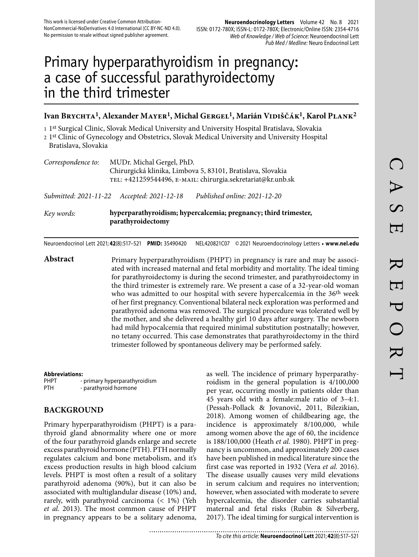# Primary hyperparathyroidism in pregnancy: a case of successful parathyroidectomy in the third trimester

## Ivan Brychta<sup>1</sup>, Alexander Mayer<sup>1</sup>, Michal Gergel<sup>1</sup>, Marián Vidiščák<sup>1</sup>, Karol Plank<sup>2</sup>

1 1st Surgical Clinic, Slovak Medical University and University Hospital Bratislava, Slovakia

2 1st Clinic of Gynecology and Obstetrics, Slovak Medical University and University Hospital Bratislava, Slovakia

| MUDr. Michal Gergel, PhD.                                   |
|-------------------------------------------------------------|
| Chirurgická klinika, Limbova 5, 83101, Bratislava, Slovakia |
| TEL: +421259544496, E-MAIL: chirurgia.sekretariat@kr.unb.sk |
|                                                             |

*Submitted: 2021-11-22 Accepted: 2021-12-18 Published online: 2021-12-20*

*Key words:* **hyperparathyroidism; hypercalcemia; pregnancy; third trimester, parathyroidectomy** 

Neuroendocrinol Lett 2021; **42**(8):517–521 **PMID:** 35490420 NEL420821C07 © 2021 Neuroendocrinology Letters • **www.nel.edu**

Abstract Primary hyperparathyroidism (PHPT) in pregnancy is rare and may be associated with increased maternal and fetal morbidity and mortality. The ideal timing for parathyroidectomy is during the second trimester, and parathyroidectomy in the third trimester is extremely rare. We present a case of a 32-year-old woman who was admitted to our hospital with severe hypercalcemia in the 36<sup>th</sup> week of her first pregnancy. Conventional bilateral neck exploration was performed and parathyroid adenoma was removed. The surgical procedure was tolerated well by the mother, and she delivered a healthy girl 10 days after surgery. The newborn had mild hypocalcemia that required minimal substitution postnatally; however, no tetany occurred. This case demonstrates that parathyroidectomy in the third trimester followed by spontaneous delivery may be performed safely.

#### **Abbreviations:**

| <b>PHPT</b> | - primary hyperparathyroidism |
|-------------|-------------------------------|
| PTH         | - parathyroid hormone         |

#### **BACKGROUND**

Primary hyperparathyroidism (PHPT) is a parathyroid gland abnormality where one or more of the four parathyroid glands enlarge and secrete excess parathyroid hormone (PTH). PTH normally regulates calcium and bone metabolism, and it's excess production results in high blood calcium levels. PHPT is most often a result of a solitary parathyroid adenoma (90%), but it can also be associated with multiglandular disease (10%) and, rarely, with parathyroid carcinoma (< 1%) (Yeh *et al.* 2013). The most common cause of PHPT in pregnancy appears to be a solitary adenoma,

as well. The incidence of primary hyperparathyroidism in the general population is 4/100,000 per year, occurring mostly in patients older than 45 years old with a female:male ratio of 3–4:1. (Pessah-Pollack & Jovanovič, 2011, Bilezikian, 2018). Among women of childbearing age, the incidence is approximately 8/100,000, while among women above the age of 60, the incidence is 188/100,000 (Heath *et al.* 1980). PHPT in pregnancy is uncommon, and approximately 200 cases have been published in medical literature since the first case was reported in 1932 (Vera *et al.* 2016). The disease usually causes very mild elevations in serum calcium and requires no intervention; however, when associated with moderate to severe hypercalcemia, the disorder carries substantial maternal and fetal risks (Rubin & Silverberg, 2017). The ideal timing for surgical intervention is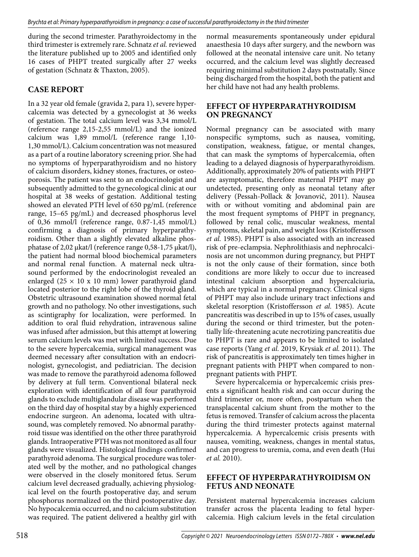during the second trimester. Parathyroidectomy in the third trimester is extremely rare. Schnatz *et al.* reviewed the literature published up to 2005 and identified only 16 cases of PHPT treated surgically after 27 weeks of gestation (Schnatz & Thaxton, 2005).

## **CASE REPORT**

In a 32 year old female (gravida 2, para 1), severe hypercalcemia was detected by a gynecologist at 36 weeks of gestation. The total calcium level was 3,34 mmol/L (reference range 2,15-2,55 mmol/L) and the ionized calcium was 1,89 mmol/L (reference range 1,10- 1,30 mmol/L). Calcium concentration was not measured as a part of a routine laboratory screening prior. She had no symptoms of hyperparathyroidism and no history of calcium disorders, kidney stones, fractures, or osteoporosis. The patient was sent to an endocrinologist and subsequently admitted to the gynecological clinic at our hospital at 38 weeks of gestation. Additional testing showed an elevated PTH level of 650 pg/mL (reference range, 15–65 pg/mL) and decreased phosphorus level of 0,36 mmol/l (reference range, 0.87-1,45 mmol/L) confirming a diagnosis of primary hyperparathyroidism. Other than a slightly elevated alkaline phosphatase of 2,02 μkat/l (reference range 0,58-1,75 μkat/l), the patient had normal blood biochemical parameters and normal renal function. A maternal neck ultrasound performed by the endocrinologist revealed an enlarged (25  $\times$  10 x 10 mm) lower parathyroid gland located posterior to the right lobe of the thyroid gland. Obstetric ultrasound examination showed normal fetal growth and no pathology. No other investigations, such as scintigraphy for localization, were performed. In addition to oral fluid rehydration, intravenous saline was infused after admission, but this attempt at lowering serum calcium levels was met with limited success. Due to the severe hypercalcemia, surgical management was deemed necessary after consultation with an endocrinologist, gynecologist, and pediatrician. The decision was made to remove the parathyroid adenoma followed by delivery at full term. Conventional bilateral neck exploration with identification of all four parathyroid glands to exclude multiglandular disease was performed on the third day of hospital stay by a highly experienced endocrine surgeon. An adenoma, located with ultrasound, was completely removed. No abnormal parathyroid tissue was identified on the other three parathyroid glands. Intraoperative PTH was not monitored as all four glands were visualized. Histological findings confirmed parathyroid adenoma. The surgical procedure was tolerated well by the mother, and no pathological changes were observed in the closely monitored fetus. Serum calcium level decreased gradually, achieving physiological level on the fourth postoperative day, and serum phosphorus normalized on the third postoperative day. No hypocalcemia occurred, and no calcium substitution was required. The patient delivered a healthy girl with

normal measurements spontaneously under epidural anaesthesia 10 days after surgery, and the newborn was followed at the neonatal intensive care unit. No tetany occurred, and the calcium level was slightly decreased requiring minimal substitution 2 days postnatally. Since being discharged from the hospital, both the patient and her child have not had any health problems.

## **EFFECT OF HYPERPARATHYROIDISM ON PREGNANCY**

Normal pregnancy can be associated with many nonspecific symptoms, such as nausea, vomiting, constipation, weakness, fatigue, or mental changes, that can mask the symptoms of hypercalcemia, often leading to a delayed diagnosis of hyperparathyroidism. Additionally, approximately 20% of patients with PHPT are asymptomatic, therefore maternal PHPT may go undetected, presenting only as neonatal tetany after delivery (Pessah-Pollack & Jovanovič, 2011). Nausea with or without vomiting and abdominal pain are the most frequent symptoms of PHPT in pregnancy, followed by renal colic, muscular weakness, mental symptoms, skeletal pain, and weight loss (Kristoffersson *et al.* 1985). PHPT is also associated with an increased risk of pre-eclampsia. Nephrolithiasis and nephrocalcinosis are not uncommon during pregnancy, but PHPT is not the only cause of their formation, since both conditions are more likely to occur due to increased intestinal calcium absorption and hypercalciuria, which are typical in a normal pregnancy. Clinical signs of PHPT may also include urinary tract infections and skeletal resorption (Kristoffersson *et al.* 1985). Acute pancreatitis was described in up to 15% of cases, usually during the second or third trimester, but the potentially life-threatening acute necrotizing pancreatitis due to PHPT is rare and appears to be limited to isolated case reports (Yang *et al.* 2019, Krysiak *et al.* 2011). The risk of pancreatitis is approximately ten times higher in pregnant patients with PHPT when compared to nonpregnant patients with PHPT.

Severe hypercalcemia or hypercalcemic crisis presents a significant health risk and can occur during the third trimester or, more often, postpartum when the transplacental calcium shunt from the mother to the fetus is removed. Transfer of calcium across the placenta during the third trimester protects against maternal hypercalcemia. A hypercalcemic crisis presents with nausea, vomiting, weakness, changes in mental status, and can progress to uremia, coma, and even death (Hui *et al.* 2010).

#### **EFFECT OF HYPERPARATHYROIDISM ON FETUS AND NEONATE**

Persistent maternal hypercalcemia increases calcium transfer across the placenta leading to fetal hypercalcemia. High calcium levels in the fetal circulation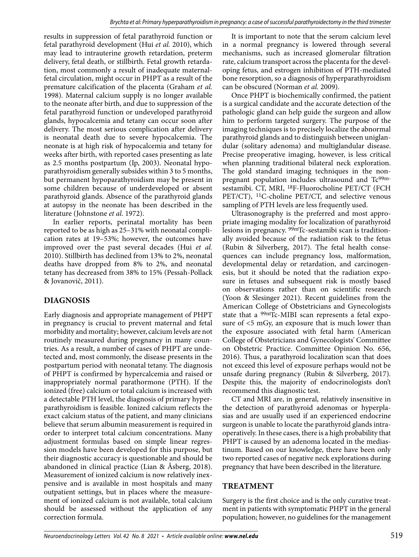results in suppression of fetal parathyroid function or fetal parathyroid development (Hui *et al.* 2010), which may lead to intrauterine growth retardation, preterm delivery, fetal death, or stillbirth. Fetal growth retardation, most commonly a result of inadequate maternalfetal circulation, might occur in PHPT as a result of the premature calcification of the placenta (Graham *et al.* 1998). Maternal calcium supply is no longer available to the neonate after birth, and due to suppression of the fetal parathyroid function or undeveloped parathyroid glands, hypocalcemia and tetany can occur soon after delivery. The most serious complication after delivery is neonatal death due to severe hypocalcemia. The neonate is at high risk of hypocalcemia and tetany for weeks after birth, with reported cases presenting as late as 2.5 months postpartum (Ip, 2003). Neonatal hypoparathyroidism generally subsides within 3 to 5 months, but permanent hypoparathyroidism may be present in some children because of underdeveloped or absent parathyroid glands. Absence of the parathyroid glands at autopsy in the neonate has been described in the literature (Johnstone *et al.* 1972).

In earlier reports, perinatal mortality has been reported to be as high as 25–31% with neonatal complication rates at 19–53%; however, the outcomes have improved over the past several decades (Hui *et al.* 2010). Stillbirth has declined from 13% to 2%, neonatal deaths have dropped from 8% to 2%, and neonatal tetany has decreased from 38% to 15% (Pessah-Pollack & Jovanovič, 2011).

# **DIAGNOSIS**

Early diagnosis and appropriate management of PHPT in pregnancy is crucial to prevent maternal and fetal morbidity and mortality; however, calcium levels are not routinely measured during pregnancy in many countries. As a result, a number of cases of PHPT are undetected and, most commonly, the disease presents in the postpartum period with neonatal tetany. The diagnosis of PHPT is confirmed by hypercalcemia and raised or inappropriately normal parathormone (PTH). If the ionized (free) calcium or total calcium is increased with a detectable PTH level, the diagnosis of primary hyperparathyroidism is feasible. Ionized calcium reflects the exact calcium status of the patient, and many clinicians believe that serum albumin measurement is required in order to interpret total calcium concentrations. Many adjustment formulas based on simple linear regression models have been developed for this purpose, but their diagnostic accuracy is questionable and should be abandoned in clinical practice (Lian & Åsberg, 2018). Measurement of ionized calcium is now relatively inexpensive and is available in most hospitals and many outpatient settings, but in places where the measurement of ionized calcium is not available, total calcium should be assessed without the application of any correction formula.

It is important to note that the serum calcium level in a normal pregnancy is lowered through several mechanisms, such as increased glomerular filtration rate, calcium transport across the placenta for the developing fetus, and estrogen inhibition of PTH-mediated bone resorption, so a diagnosis of hyperparathyroidism can be obscured (Norman *et al.* 2009).

Once PHPT is biochemically confirmed, the patient is a surgical candidate and the accurate detection of the pathologic gland can help guide the surgeon and allow him to perform targeted surgery. The purpose of the imaging techniques is to precisely localize the abnormal parathyroid glands and to distinguish between uniglandular (solitary adenoma) and multiglandular disease. Precise preoperative imaging, however, is less critical when planning traditional bilateral neck exploration. The gold standard imaging techniques in the nonpregnant population includes ultrasound and Tc99msestamibi. CT, MRI, 18F-Fluorocholine PET/CT (FCH PET/CT), <sup>11</sup>C-choline PET/CT, and selective venous sampling of PTH levels are less frequently used.

Ultrasonography is the preferred and most appropriate imaging modality for localization of parathyroid lesions in pregnancy. 99mTc-sestamibi scan is traditionally avoided because of the radiation risk to the fetus (Rubin & Silverberg, 2017). The fetal health consequences can include pregnancy loss, malformation, developmental delay or retardation, and carcinogenesis, but it should be noted that the radiation exposure in fetuses and subsequent risk is mostly based on observations rather than on scientific research (Yoon & Slesinger 2021). Recent guidelines from the American College of Obstetricians and Gynecologists state that a 99mTc-MIBI scan represents a fetal exposure of <5 mGy, an exposure that is much lower than the exposure associated with fetal harm (American College of Obstetricians and Gynecologists' Committee on Obstetric Practice. Committee Opinion No. 656, 2016). Thus, a parathyroid localization scan that does not exceed this level of exposure perhaps would not be unsafe during pregnancy (Rubin & Silverberg, 2017). Despite this, the majority of endocrinologists don't recommend this diagnostic test.

CT and MRI are, in general, relatively insensitive in the detection of parathyroid adenomas or hyperplasias and are usually used if an experienced endocrine surgeon is unable to locate the parathyroid glands intraoperatively. In these cases, there is a high probability that PHPT is caused by an adenoma located in the mediastinum. Based on our knowledge, there have been only two reported cases of negative neck explorations during pregnancy that have been described in the literature.

## **TREATMENT**

Surgery is the first choice and is the only curative treatment in patients with symptomatic PHPT in the general population; however, no guidelines for the management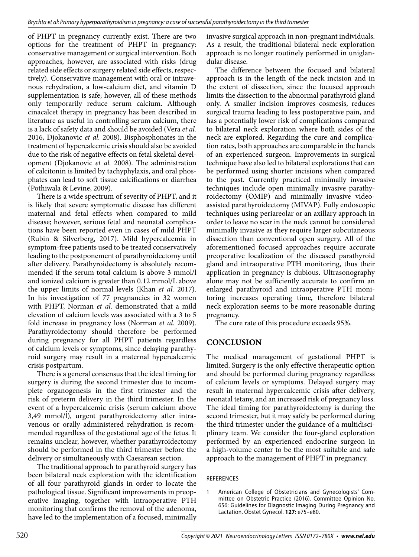of PHPT in pregnancy currently exist. There are two options for the treatment of PHPT in pregnancy: conservative management or surgical intervention. Both approaches, however, are associated with risks (drug related side effects or surgery related side effects, respectively). Conservative management with oral or intravenous rehydration, a low-calcium diet, and vitamin D supplementation is safe; however, all of these methods only temporarily reduce serum calcium. Although cinacalcet therapy in pregnancy has been described in literature as useful in controlling serum calcium, there is a lack of safety data and should be avoided (Vera *et al.* 2016, Djokanovic *et al.* 2008). Bisphosphonates in the treatment of hypercalcemic crisis should also be avoided due to the risk of negative effects on fetal skeletal development (Djokanovic *et al.* 2008). The administration of calcitonin is limited by tachyphylaxis, and oral phosphates can lead to soft tissue calcifications or diarrhea (Pothiwala & Levine, 2009).

There is a wide spectrum of severity of PHPT, and it is likely that severe symptomatic disease has different maternal and fetal effects when compared to mild disease; however, serious fetal and neonatal complications have been reported even in cases of mild PHPT (Rubin & Silverberg, 2017). Mild hypercalcemia in symptom-free patients used to be treated conservatively leading to the postponement of parathyroidectomy until after delivery. Parathyroidectomy is absolutely recommended if the serum total calcium is above 3 mmol/l and ionized calcium is greater than 0.12 mmol/L above the upper limits of normal levels (Khan *et al.* 2017). In his investigation of 77 pregnancies in 32 women with PHPT, Norman *et al.* demonstrated that a mild elevation of calcium levels was associated with a 3 to 5 fold increase in pregnancy loss (Norman *et al.* 2009). Parathyroidectomy should therefore be performed during pregnancy for all PHPT patients regardless of calcium levels or symptoms, since delaying parathyroid surgery may result in a maternal hypercalcemic crisis postpartum.

There is a general consensus that the ideal timing for surgery is during the second trimester due to incomplete organogenesis in the first trimester and the risk of preterm delivery in the third trimester. In the event of a hypercalcemic crisis (serum calcium above 3,49 mmol/l), urgent parathyroidectomy after intravenous or orally administered rehydration is recommended regardless of the gestational age of the fetus. It remains unclear, however, whether parathyroidectomy should be performed in the third trimester before the delivery or simultaneously with Caesarean section.

The traditional approach to parathyroid surgery has been bilateral neck exploration with the identification of all four parathyroid glands in order to locate the pathological tissue. Significant improvements in preoperative imaging, together with intraoperative PTH monitoring that confirms the removal of the adenoma, have led to the implementation of a focused, minimally invasive surgical approach in non-pregnant individuals. As a result, the traditional bilateral neck exploration approach is no longer routinely performed in uniglandular disease.

The difference between the focused and bilateral approach is in the length of the neck incision and in the extent of dissection, since the focused approach limits the dissection to the abnormal parathyroid gland only. A smaller incision improves cosmesis, reduces surgical trauma leading to less postoperative pain, and has a potentially lower risk of complications compared to bilateral neck exploration where both sides of the neck are explored. Regarding the cure and complication rates, both approaches are comparable in the hands of an experienced surgeon. Improvements in surgical technique have also led to bilateral explorations that can be performed using shorter incisions when compared to the past. Currently practiced minimally invasive techniques include open minimally invasive parathyroidectomy (OMIP) and minimally invasive videoassisted parathyroidectomy (MIVAP). Fully endoscopic techniques using periareolar or an axillary approach in order to leave no scar in the neck cannot be considered minimally invasive as they require larger subcutaneous dissection than conventional open surgery. All of the aforementioned focused approaches require accurate preoperative localization of the diseased parathyroid gland and intraoperative PTH monitoring, thus their application in pregnancy is dubious. Ultrasonography alone may not be sufficiently accurate to confirm an enlarged parathyroid and intraoperative PTH monitoring increases operating time, therefore bilateral neck exploration seems to be more reasonable during pregnancy.

The cure rate of this procedure exceeds 95%.

## **CONCLUSION**

The medical management of gestational PHPT is limited. Surgery is the only effective therapeutic option and should be performed during pregnancy regardless of calcium levels or symptoms. Delayed surgery may result in maternal hypercalcemic crisis after delivery, neonatal tetany, and an increased risk of pregnancy loss. The ideal timing for parathyroidectomy is during the second trimester, but it may safely be performed during the third trimester under the guidance of a multidisciplinary team. We consider the four-gland exploration performed by an experienced endocrine surgeon in a high-volume center to be the most suitable and safe approach to the management of PHPT in pregnancy.

#### REFERENCES

1 American College of Obstetricians and Gynecologists' Committee on Obstetric Practice (2016). Committee Opinion No. 656: Guidelines for Diagnostic Imaging During Pregnancy and Lactation. Obstet Gynecol. **127**: e75–e80.